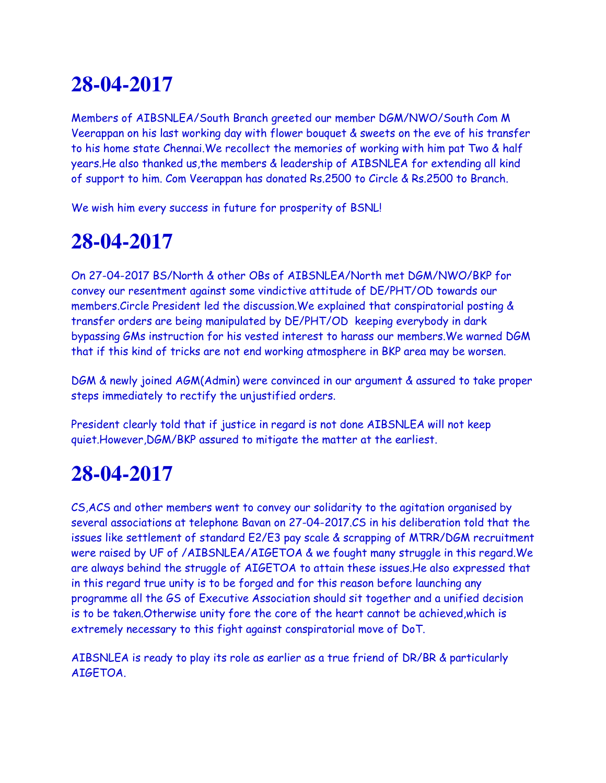Members of AIBSNLEA/South Branch greeted our member DGM/NWO/South Com M Veerappan on his last working day with flower bouquet & sweets on the eve of his transfer to his home state Chennai.We recollect the memories of working with him pat Two & half years.He also thanked us,the members & leadership of AIBSNLEA for extending all kind of support to him. Com Veerappan has donated Rs.2500 to Circle & Rs.2500 to Branch.

We wish him every success in future for prosperity of BSNL!

# **28-04-2017**

On 27-04-2017 BS/North & other OBs of AIBSNLEA/North met DGM/NWO/BKP for convey our resentment against some vindictive attitude of DE/PHT/OD towards our members.Circle President led the discussion.We explained that conspiratorial posting & transfer orders are being manipulated by DE/PHT/OD keeping everybody in dark bypassing GMs instruction for his vested interest to harass our members.We warned DGM that if this kind of tricks are not end working atmosphere in BKP area may be worsen.

DGM & newly joined AGM(Admin) were convinced in our argument & assured to take proper steps immediately to rectify the unjustified orders.

President clearly told that if justice in regard is not done AIBSNLEA will not keep quiet.However,DGM/BKP assured to mitigate the matter at the earliest.

### **28-04-2017**

CS,ACS and other members went to convey our solidarity to the agitation organised by several associations at telephone Bavan on 27-04-2017.CS in his deliberation told that the issues like settlement of standard E2/E3 pay scale & scrapping of MTRR/DGM recruitment were raised by UF of /AIBSNLEA/AIGETOA & we fought many struggle in this regard.We are always behind the struggle of AIGETOA to attain these issues.He also expressed that in this regard true unity is to be forged and for this reason before launching any programme all the GS of Executive Association should sit together and a unified decision is to be taken.Otherwise unity fore the core of the heart cannot be achieved,which is extremely necessary to this fight against conspiratorial move of DoT.

AIBSNLEA is ready to play its role as earlier as a true friend of DR/BR & particularly AIGETOA.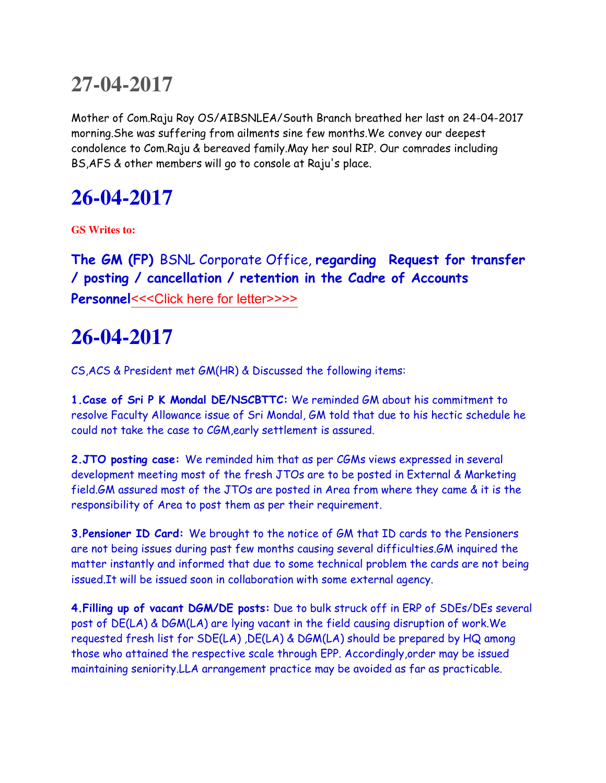Mother of Com.Raju Roy OS/AIBSNLEA/South Branch breathed her last on 24-04-2017 morning.She was suffering from ailments sine few months.We convey our deepest condolence to Com.Raju & bereaved family.May her soul RIP. Our comrades including BS,AFS & other members will go to console at Raju's place.

# **26-04-2017**

**GS Writes to:**

**The GM (FP)** BSNL Corporate Office, **regarding Request for transfer / posting / cancellation / retention in the Cadre of Accounts Personnel[<<<Click here for letter>>>>](http://www.aibsnleachq.in/GMFP_170425.pdf)** 

### **26-04-2017**

CS,ACS & President met GM(HR) & Discussed the following items:

**1.Case of Sri P K Mondal DE/NSCBTTC:** We reminded GM about his commitment to resolve Faculty Allowance issue of Sri Mondal, GM told that due to his hectic schedule he could not take the case to CGM,early settlement is assured.

**2.JTO posting case:** We reminded him that as per CGMs views expressed in several development meeting most of the fresh JTOs are to be posted in External & Marketing field.GM assured most of the JTOs are posted in Area from where they came & it is the responsibility of Area to post them as per their requirement.

**3.Pensioner ID Card:** We brought to the notice of GM that ID cards to the Pensioners are not being issues during past few months causing several difficulties.GM inquired the matter instantly and informed that due to some technical problem the cards are not being issued.It will be issued soon in collaboration with some external agency.

**4.Filling up of vacant DGM/DE posts:** Due to bulk struck off in ERP of SDEs/DEs several post of DE(LA) & DGM(LA) are lying vacant in the field causing disruption of work.We requested fresh list for SDE(LA) ,DE(LA) & DGM(LA) should be prepared by HQ among those who attained the respective scale through EPP. Accordingly,order may be issued maintaining seniority.LLA arrangement practice may be avoided as far as practicable.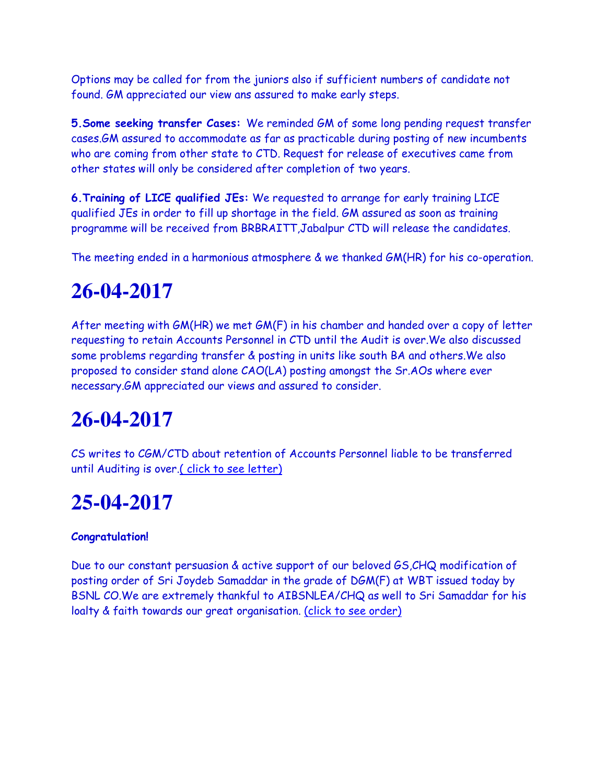Options may be called for from the juniors also if sufficient numbers of candidate not found. GM appreciated our view ans assured to make early steps.

**5.Some seeking transfer Cases:** We reminded GM of some long pending request transfer cases.GM assured to accommodate as far as practicable during posting of new incumbents who are coming from other state to CTD. Request for release of executives came from other states will only be considered after completion of two years.

**6.Training of LICE qualified JEs:** We requested to arrange for early training LICE qualified JEs in order to fill up shortage in the field. GM assured as soon as training programme will be received from BRBRAITT,Jabalpur CTD will release the candidates.

The meeting ended in a harmonious atmosphere & we thanked GM(HR) for his co-operation.

### **26-04-2017**

After meeting with GM(HR) we met GM(F) in his chamber and handed over a copy of letter requesting to retain Accounts Personnel in CTD until the Audit is over.We also discussed some problems regarding transfer & posting in units like south BA and others.We also proposed to consider stand alone CAO(LA) posting amongst the Sr.AOs where ever necessary.GM appreciated our views and assured to consider.

# **26-04-2017**

CS writes to CGM/CTD about retention of Accounts Personnel liable to be transferred until Auditing is over.( click to see letter)

### **25-04-2017**

#### **Congratulation!**

Due to our constant persuasion & active support of our beloved GS,CHQ modification of posting order of Sri Joydeb Samaddar in the grade of DGM(F) at WBT issued today by BSNL CO.We are extremely thankful to AIBSNLEA/CHQ as well to Sri Samaddar for his loalty & faith towards our great organisation. (click to see order)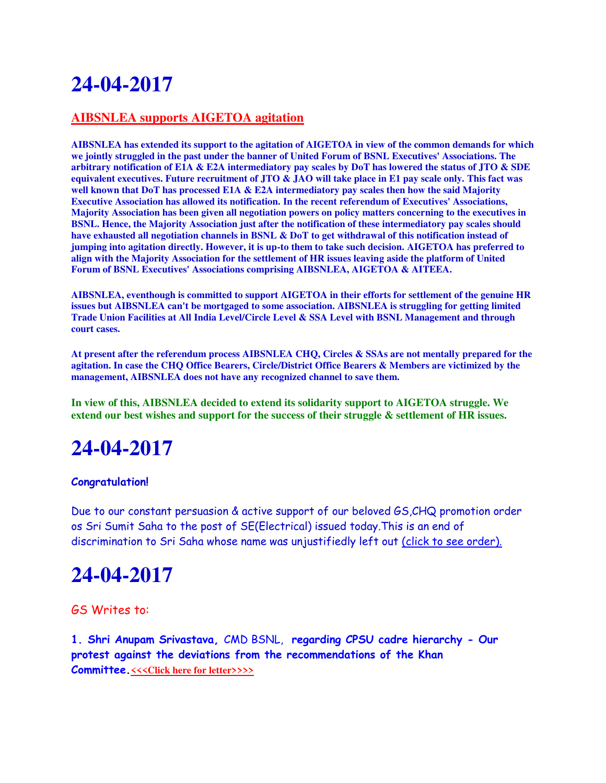#### **AIBSNLEA supports AIGETOA agitation**

**AIBSNLEA has extended its support to the agitation of AIGETOA in view of the common demands for which we jointly struggled in the past under the banner of United Forum of BSNL Executives' Associations. The arbitrary notification of E1A & E2A intermediatory pay scales by DoT has lowered the status of JTO & SDE equivalent executives. Future recruitment of JTO & JAO will take place in E1 pay scale only. This fact was well known that DoT has processed E1A & E2A intermediatory pay scales then how the said Majority Executive Association has allowed its notification. In the recent referendum of Executives' Associations, Majority Association has been given all negotiation powers on policy matters concerning to the executives in BSNL. Hence, the Majority Association just after the notification of these intermediatory pay scales should have exhausted all negotiation channels in BSNL & DoT to get withdrawal of this notification instead of jumping into agitation directly. However, it is up-to them to take such decision. AIGETOA has preferred to align with the Majority Association for the settlement of HR issues leaving aside the platform of United Forum of BSNL Executives' Associations comprising AIBSNLEA, AIGETOA & AITEEA.**

**AIBSNLEA, eventhough is committed to support AIGETOA in their efforts for settlement of the genuine HR issues but AIBSNLEA can't be mortgaged to some association. AIBSNLEA is struggling for getting limited Trade Union Facilities at All India Level/Circle Level & SSA Level with BSNL Management and through court cases.**

**At present after the referendum process AIBSNLEA CHQ, Circles & SSAs are not mentally prepared for the agitation. In case the CHQ Office Bearers, Circle/District Office Bearers & Members are victimized by the management, AIBSNLEA does not have any recognized channel to save them.**

**In view of this, AIBSNLEA decided to extend its solidarity support to AIGETOA struggle. We extend our best wishes and support for the success of their struggle & settlement of HR issues.**

## **24-04-2017**

#### **Congratulation!**

Due to our constant persuasion & active support of our beloved GS,CHQ promotion order os Sri Sumit Saha to the post of SE(Electrical) issued today.This is an end of discrimination to Sri Saha whose name was unjustifiedly left out (click to see order).

### **24-04-2017**

#### GS Writes to:

**1. Shri Anupam Srivastava,** CMD BSNL, **regarding CPSU cadre hierarchy - Our protest against the deviations from the recommendations of the Khan Committee.** <<< Click here for letter>>>>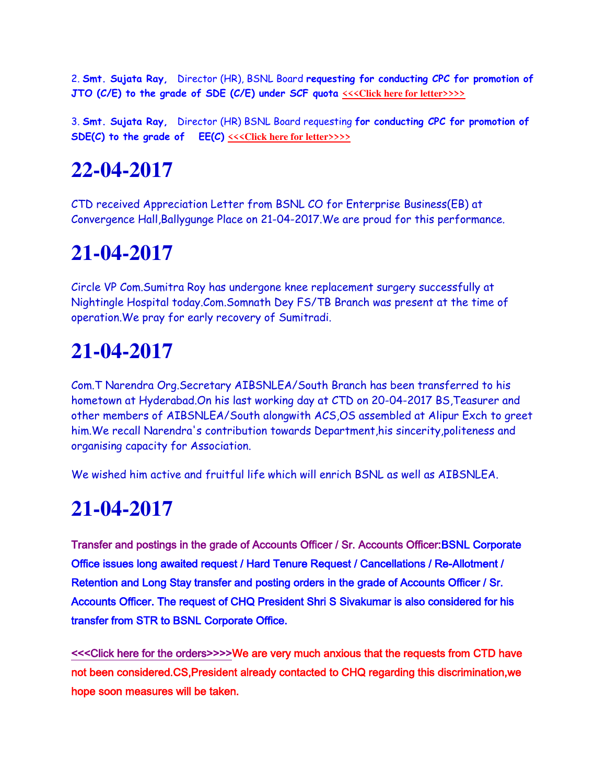2. **Smt. Sujata Ray,** Director (HR), BSNL Board **requesting for conducting CPC for promotion of JTO (C/E) to the grade of SDE (C/E) under SCF guota**  $\leq\leq$  Click here for letter>>>>

3. **Smt. Sujata Ray,** Director (HR) BSNL Board requesting **for conducting CPC for promotion of SDE(C)** to the grade of EE(C)  $\leq$   $\leq$  Click here for letter>>>>

# **22-04-2017**

CTD received Appreciation Letter from BSNL CO for Enterprise Business(EB) at Convergence Hall,Ballygunge Place on 21-04-2017.We are proud for this performance.

### **21-04-2017**

Circle VP Com.Sumitra Roy has undergone knee replacement surgery successfully at Nightingle Hospital today.Com.Somnath Dey FS/TB Branch was present at the time of operation.We pray for early recovery of Sumitradi.

# **21-04-2017**

Com.T Narendra Org.Secretary AIBSNLEA/South Branch has been transferred to his hometown at Hyderabad.On his last working day at CTD on 20-04-2017 BS,Teasurer and other members of AIBSNLEA/South alongwith ACS,OS assembled at Alipur Exch to greet him.We recall Narendra's contribution towards Department,his sincerity,politeness and organising capacity for Association.

We wished him active and fruitful life which will enrich BSNL as well as AIBSNLEA.

## **21-04-2017**

Transfer and postings in the grade of Accounts Officer / Sr. Accounts Officer:BSNL Corporate Office issues long awaited request / Hard Tenure Request / Cancellations / Re-Allotment / Retention and Long Stay transfer and posting orders in the grade of Accounts Officer / Sr. Accounts Officer. The request of CHQ President Shri S Sivakumar is also considered for his transfer from STR to BSNL Corporate Office.

[<<<Click here for the orders>>>>W](http://www.aibsnleachq.in/Transfer%2021.04.2017.pdf)e are very much anxious that the requests from CTD have not been considered.CS,President already contacted to CHQ regarding this discrimination,we hope soon measures will be taken.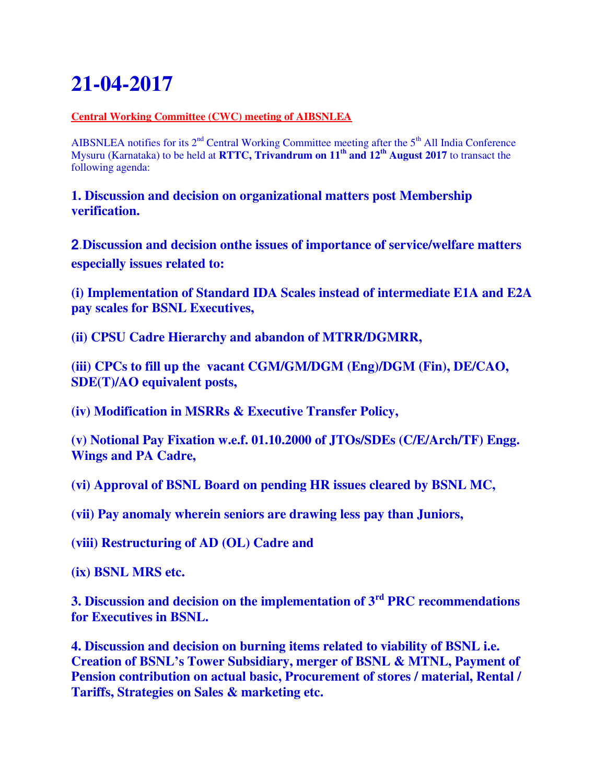#### **Central Working Committee (CWC) meeting of AIBSNLEA**

AIBSNLEA notifies for its  $2<sup>nd</sup>$  Central Working Committee meeting after the  $5<sup>th</sup>$  All India Conference Mysuru (Karnataka) to be held at **RTTC, Trivandrum on 11th and 12th August 2017** to transact the following agenda:

**1. Discussion and decision on organizational matters post Membership verification.**

2.**Discussion and decision onthe issues of importance of service/welfare matters especially issues related to:**

**(i) Implementation of Standard IDA Scales instead of intermediate E1A and E2A pay scales for BSNL Executives,**

**(ii) CPSU Cadre Hierarchy and abandon of MTRR/DGMRR,**

**(iii) CPCs to fill up the vacant CGM/GM/DGM (Eng)/DGM (Fin), DE/CAO, SDE(T)/AO equivalent posts,**

**(iv) Modification in MSRRs & Executive Transfer Policy,**

**(v) Notional Pay Fixation w.e.f. 01.10.2000 of JTOs/SDEs (C/E/Arch/TF) Engg. Wings and PA Cadre,**

**(vi) Approval of BSNL Board on pending HR issues cleared by BSNL MC,**

**(vii) Pay anomaly wherein seniors are drawing less pay than Juniors,**

**(viii) Restructuring of AD (OL) Cadre and**

**(ix) BSNL MRS etc.**

**3. Discussion and decision on the implementation of 3rd PRC recommendations for Executives in BSNL.**

**4. Discussion and decision on burning items related to viability of BSNL i.e. Creation of BSNL's Tower Subsidiary, merger of BSNL & MTNL, Payment of Pension contribution on actual basic, Procurement of stores / material, Rental / Tariffs, Strategies on Sales & marketing etc.**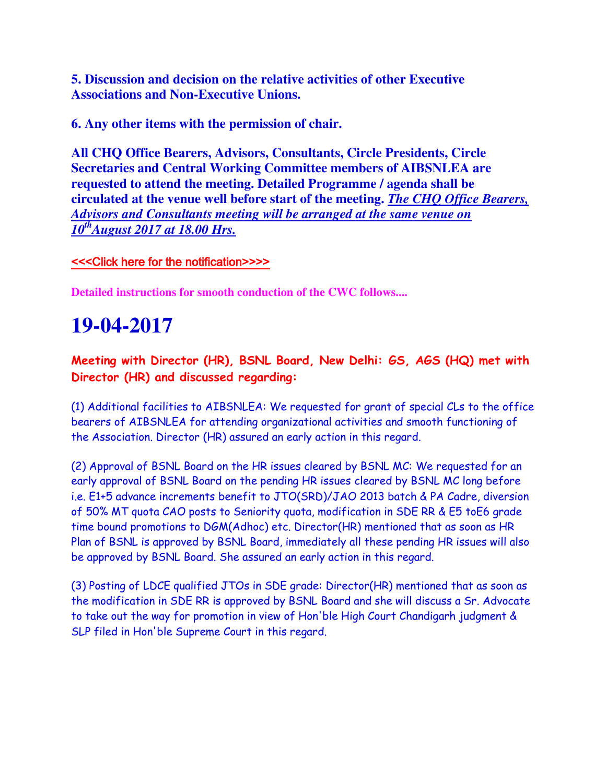**5. Discussion and decision on the relative activities of other Executive Associations and Non-Executive Unions.**

**6. Any other items with the permission of chair.**

**All CHQ Office Bearers, Advisors, Consultants, Circle Presidents, Circle Secretaries and Central Working Committee members of AIBSNLEA are requested to attend the meeting. Detailed Programme / agenda shall be circulated at the venue well before start of the meeting.** *The CHQ Office Bearers, Advisors and Consultants meeting will be arranged at the same venue on 10thAugust 2017 at 18.00 Hrs.*

#### [<<<Click here for the notification>>>>](http://www.aibsnleachq.in/CWC%20Notice.pdf)

**Detailed instructions for smooth conduction of the CWC follows....**

### **19-04-2017**

**Meeting with Director (HR), BSNL Board, New Delhi: GS, AGS (HQ) met with Director (HR) and discussed regarding:**

(1) Additional facilities to AIBSNLEA: We requested for grant of special CLs to the office bearers of AIBSNLEA for attending organizational activities and smooth functioning of the Association. Director (HR) assured an early action in this regard.

(2) Approval of BSNL Board on the HR issues cleared by BSNL MC: We requested for an early approval of BSNL Board on the pending HR issues cleared by BSNL MC long before i.e. E1+5 advance increments benefit to JTO(SRD)/JAO 2013 batch & PA Cadre, diversion of 50% MT quota CAO posts to Seniority quota, modification in SDE RR & E5 toE6 grade time bound promotions to DGM(Adhoc) etc. Director(HR) mentioned that as soon as HR Plan of BSNL is approved by BSNL Board, immediately all these pending HR issues will also be approved by BSNL Board. She assured an early action in this regard.

(3) Posting of LDCE qualified JTOs in SDE grade: Director(HR) mentioned that as soon as the modification in SDE RR is approved by BSNL Board and she will discuss a Sr. Advocate to take out the way for promotion in view of Hon'ble High Court Chandigarh judgment & SLP filed in Hon'ble Supreme Court in this regard.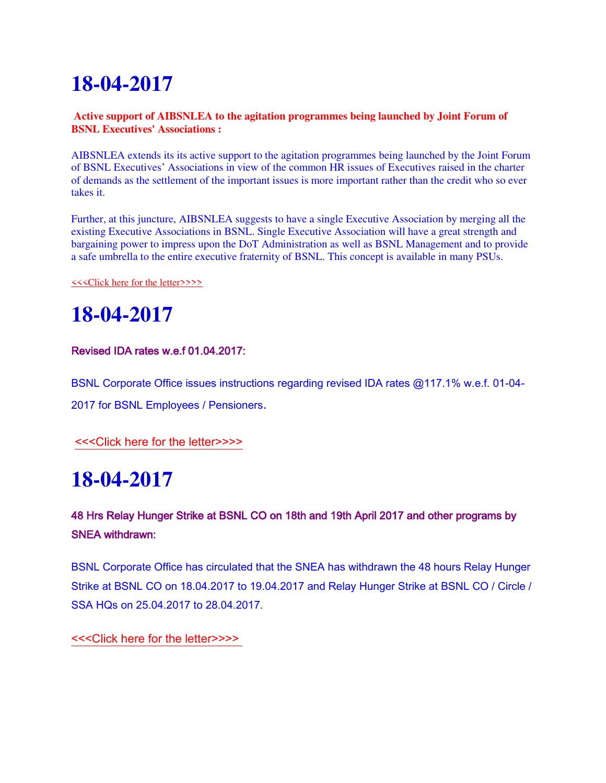#### **Active support of AIBSNLEA to the agitation programmes being launched by Joint Forum of BSNL Executives' Associations :**

AIBSNLEA extends its its active support to the agitation programmes being launched by the Joint Forum of BSNL Executives' Associations in view of the common HR issues of Executives raised in the charter of demands as the settlement of the important issues is more important rather than the credit who so ever takes it.

Further, at this juncture, AIBSNLEA suggests to have a single Executive Association by merging all the existing Executive Associations in BSNL. Single Executive Association will have a great strength and bargaining power to impress upon the DoT Administration as well as BSNL Management and to provide a safe umbrella to the entire executive fraternity of BSNL. This concept is available in many PSUs.

[<<<Click here for the letter>>>>](http://www.aibsnleachq.in/JF_180417.pdf)

# **18-04-2017**

#### Revised IDA rates w.e.f 01.04.2017:

BSNL Corporate Office issues instructions regarding revised IDA rates @117.1% w.e.f. 01-04-

2017 for BSNL Employees / Pensioners.

[<<<Click here for the letter>>>>](http://www.aibsnleachq.in/IDA_April_2017.pdf)

## **18-04-2017**

#### 48 Hrs Relay Hunger Strike at BSNL CO on 18th and 19th April 2017 and other programs by SNEA withdrawn:

BSNL Corporate Office has circulated that the SNEA has withdrawn the 48 hours Relay Hunger Strike at BSNL CO on 18.04.2017 to 19.04.2017 and Relay Hunger Strike at BSNL CO / Circle / SSA HQs on 25.04.2017 to 28.04.2017.

[<<<Click here for the letter>>>>](http://www.aibsnleachq.in/STRIKE_SNEA.pdf)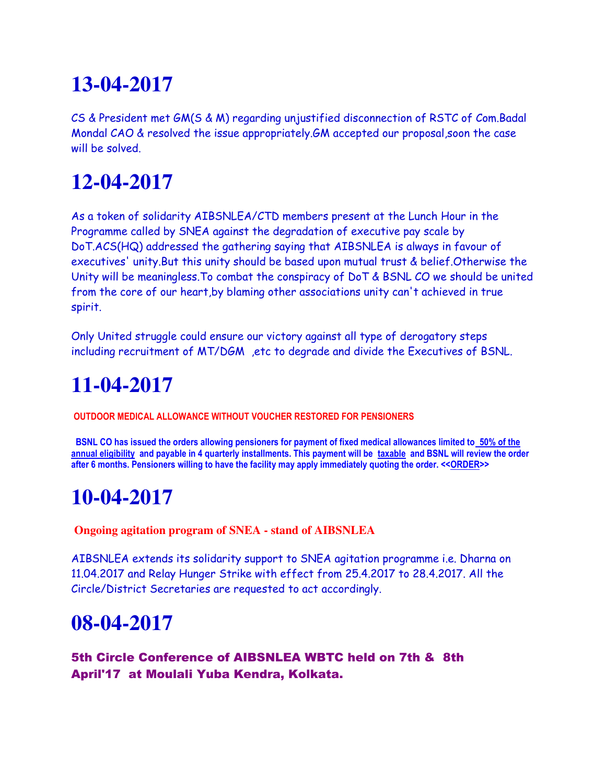CS & President met GM(S & M) regarding unjustified disconnection of RSTC of Com.Badal Mondal CAO & resolved the issue appropriately.GM accepted our proposal,soon the case will be solved.

# **12-04-2017**

As a token of solidarity AIBSNLEA/CTD members present at the Lunch Hour in the Programme called by SNEA against the degradation of executive pay scale by DoT.ACS(HQ) addressed the gathering saying that AIBSNLEA is always in favour of executives' unity.But this unity should be based upon mutual trust & belief.Otherwise the Unity will be meaningless.To combat the conspiracy of DoT & BSNL CO we should be united from the core of our heart,by blaming other associations unity can't achieved in true spirit.

Only United struggle could ensure our victory against all type of derogatory steps including recruitment of MT/DGM ,etc to degrade and divide the Executives of BSNL.

# **11-04-2017**

**OUTDOOR MEDICAL ALLOWANCE WITHOUT VOUCHER RESTORED FOR PENSIONERS** 

 **BSNL CO has issued the orders allowing pensioners for payment of fixed medical allowances limited to 50% of the annual eligibility and payable in 4 quarterly installments. This payment will be taxable and BSNL will review the order after 6 months. Pensioners willing to have the facility may apply immediately quoting the order. <[<ORDER>](http://www.aibsnlretd.org/RetdEmployeeswithout%20voucher.pdf)>**

# **10-04-2017**

 **Ongoing agitation program of SNEA - stand of AIBSNLEA**

AIBSNLEA extends its solidarity support to SNEA agitation programme i.e. Dharna on 11.04.2017 and Relay Hunger Strike with effect from 25.4.2017 to 28.4.2017. All the Circle/District Secretaries are requested to act accordingly.

#### **08-04-2017**

5th Circle Conference of AIBSNLEA WBTC held on 7th & 8th April'17 at Moulali Yuba Kendra, Kolkata.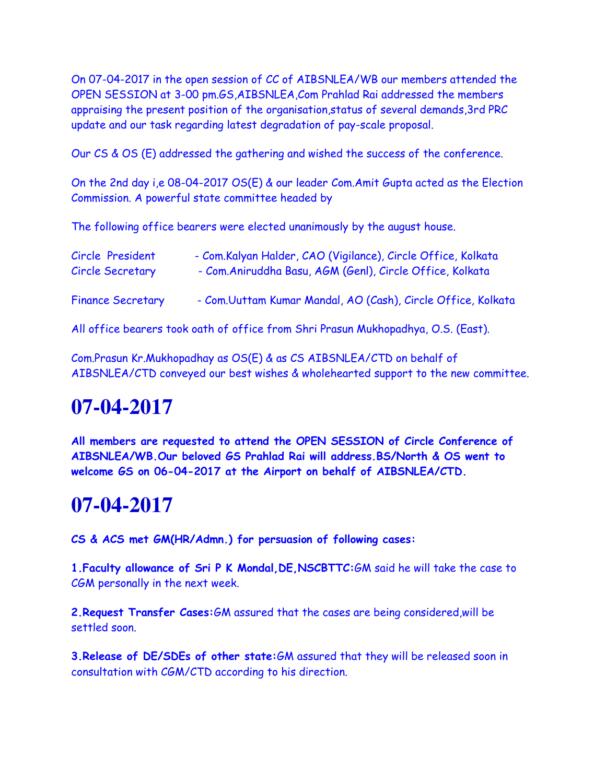On 07-04-2017 in the open session of CC of AIBSNLEA/WB our members attended the OPEN SESSION at 3-00 pm.GS,AIBSNLEA,Com Prahlad Rai addressed the members appraising the present position of the organisation,status of several demands,3rd PRC update and our task regarding latest degradation of pay-scale proposal.

Our CS & OS (E) addressed the gathering and wished the success of the conference.

On the 2nd day i,e 08-04-2017 OS(E) & our leader Com.Amit Gupta acted as the Election Commission. A powerful state committee headed by

The following office bearers were elected unanimously by the august house.

| Circle President         | - Com.Kalyan Halder, CAO (Vigilance), Circle Office, Kolkata |
|--------------------------|--------------------------------------------------------------|
| <b>Circle Secretary</b>  | - Com. Aniruddha Basu, AGM (Genl), Circle Office, Kolkata    |
| <b>Finance Secretary</b> | - Com.Uuttam Kumar Mandal, AO (Cash), Circle Office, Kolkata |

All office bearers took oath of office from Shri Prasun Mukhopadhya, O.S. (East).

Com.Prasun Kr.Mukhopadhay as OS(E) & as CS AIBSNLEA/CTD on behalf of AIBSNLEA/CTD conveyed our best wishes & wholehearted support to the new committee.

## **07-04-2017**

**All members are requested to attend the OPEN SESSION of Circle Conference of AIBSNLEA/WB.Our beloved GS Prahlad Rai will address.BS/North & OS went to welcome GS on 06-04-2017 at the Airport on behalf of AIBSNLEA/CTD.**

### **07-04-2017**

**CS & ACS met GM(HR/Admn.) for persuasion of following cases:**

**1.Faculty allowance of Sri P K Mondal,DE,NSCBTTC:**GM said he will take the case to CGM personally in the next week.

**2.Request Transfer Cases:**GM assured that the cases are being considered,will be settled soon.

**3.Release of DE/SDEs of other state:**GM assured that they will be released soon in consultation with CGM/CTD according to his direction.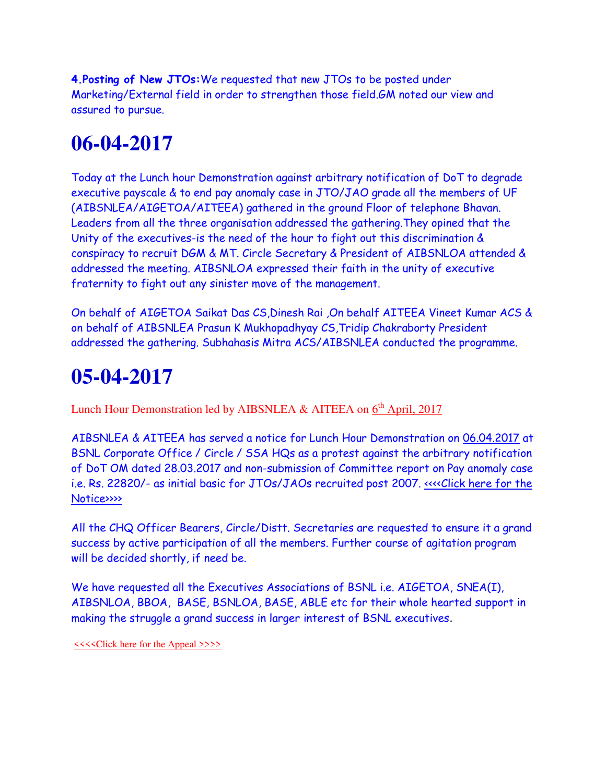**4.Posting of New JTOs:**We requested that new JTOs to be posted under Marketing/External field in order to strengthen those field.GM noted our view and assured to pursue.

# **06-04-2017**

Today at the Lunch hour Demonstration against arbitrary notification of DoT to degrade executive payscale & to end pay anomaly case in JTO/JAO grade all the members of UF (AIBSNLEA/AIGETOA/AITEEA) gathered in the ground Floor of telephone Bhavan. Leaders from all the three organisation addressed the gathering.They opined that the Unity of the executives-is the need of the hour to fight out this discrimination & conspiracy to recruit DGM & MT. Circle Secretary & President of AIBSNLOA attended & addressed the meeting. AIBSNLOA expressed their faith in the unity of executive fraternity to fight out any sinister move of the management.

On behalf of AIGETOA Saikat Das CS,Dinesh Rai ,On behalf AITEEA Vineet Kumar ACS & on behalf of AIBSNLEA Prasun K Mukhopadhyay CS,Tridip Chakraborty President addressed the gathering. Subhahasis Mitra ACS/AIBSNLEA conducted the programme.

### **05-04-2017**

Lunch Hour Demonstration led by AIBSNLEA & AITEEA on  $6<sup>th</sup>$  April, 2017

AIBSNLEA & AITEEA has served a notice for Lunch Hour Demonstration on 06.04.2017 at BSNL Corporate Office / Circle / SSA HQs as a protest against the arbitrary notification of DoT OM dated 28.03.2017 and non-submission of Committee report on Pay anomaly case i.e. Rs. 22820/- as initial basic for JTOs/JAOs recruited post 2007. <<<< Click here for the [Notice>>>>](http://www.aibsnleachq.in/Union_31.03.2017.PDF)

All the CHQ Officer Bearers, Circle/Distt. Secretaries are requested to ensure it a grand success by active participation of all the members. Further course of agitation program will be decided shortly, if need be.

We have requested all the Executives Associations of BSNL i.e. AIGETOA, SNEA(I), AIBSNLOA, BBOA, BASE, BSNLOA, BASE, ABLE etc for their whole hearted support in making the struggle a grand success in larger interest of BSNL executives.

 [<<<<Click here for the Appeal >>>>](http://www.aibsnleachq.in/Union.PDF)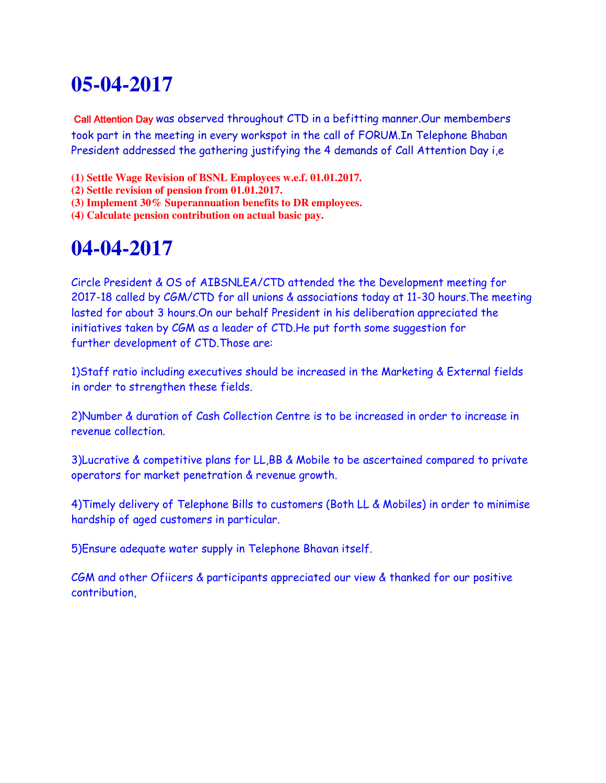Call Attention Day was observed throughout CTD in a befitting manner.Our membembers took part in the meeting in every workspot in the call of FORUM.In Telephone Bhaban President addressed the gathering justifying the 4 demands of Call Attention Day i,e

- **(1) Settle Wage Revision of BSNL Employees w.e.f. 01.01.2017.**
- **(2) Settle revision of pension from 01.01.2017.**
- **(3) Implement 30% Superannuation benefits to DR employees.**
- **(4) Calculate pension contribution on actual basic pay.**

### **04-04-2017**

Circle President & OS of AIBSNLEA/CTD attended the the Development meeting for 2017-18 called by CGM/CTD for all unions & associations today at 11-30 hours.The meeting lasted for about 3 hours.On our behalf President in his deliberation appreciated the initiatives taken by CGM as a leader of CTD.He put forth some suggestion for further development of CTD.Those are:

1)Staff ratio including executives should be increased in the Marketing & External fields in order to strengthen these fields.

2)Number & duration of Cash Collection Centre is to be increased in order to increase in revenue collection.

3)Lucrative & competitive plans for LL,BB & Mobile to be ascertained compared to private operators for market penetration & revenue growth.

4)Timely delivery of Telephone Bills to customers (Both LL & Mobiles) in order to minimise hardship of aged customers in particular.

5)Ensure adequate water supply in Telephone Bhavan itself.

CGM and other Ofiicers & participants appreciated our view & thanked for our positive contribution,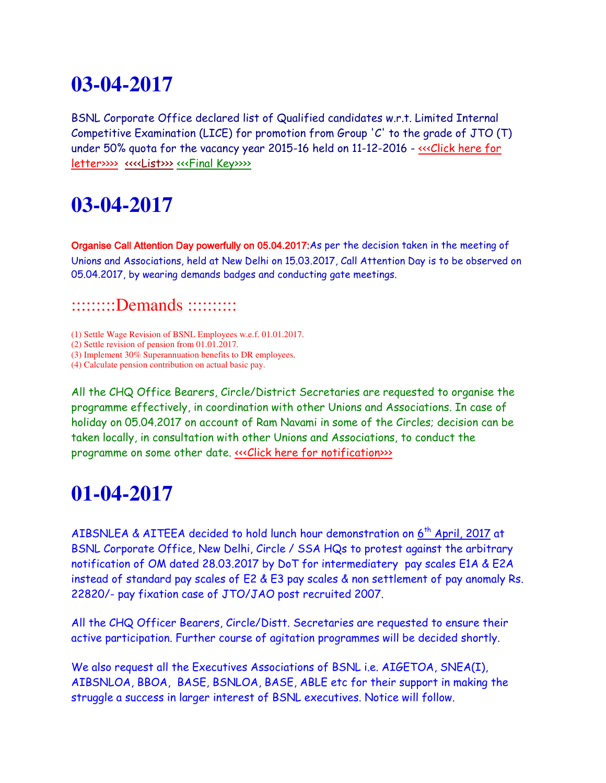BSNL Corporate Office declared list of Qualified candidates w.r.t. Limited Internal Competitive Examination (LICE) for promotion from Group 'C' to the grade of JTO (T) under 50% quota for the vacancy year 2015-16 held on 11-12-2016 - «<< Click here for [letter>>>>](http://www.aibsnleachq.in/forwarding.pdf) [<<<<List>>>](http://www.aibsnleachq.in/Annex%20%20%20-A.pdf) [<<<Final Key>>>>](http://www.aibsnleachq.in/final%20key.pdf)

### **03-04-2017**

Organise Call Attention Day powerfully on 05.04.2017:As per the decision taken in the meeting of Unions and Associations, held at New Delhi on 15.03.2017, Call Attention Day is to be observed on 05.04.2017, by wearing demands badges and conducting gate meetings.

#### ::::::::::Demands ::::::::::

(1) Settle Wage Revision of BSNL Employees w.e.f. 01.01.2017.

(2) Settle revision of pension from 01.01.2017.

(3) Implement 30% Superannuation benefits to DR employees.

(4) Calculate pension contribution on actual basic pay.

All the CHQ Office Bearers, Circle/District Secretaries are requested to organise the programme effectively, in coordination with other Unions and Associations. In case of holiday on 05.04.2017 on account of Ram Navami in some of the Circles; decision can be taken locally, in consultation with other Unions and Associations, to conduct the programme on some other date. «<< Click here for notification >>>

## **01-04-2017**

AIBSNLEA & AITEEA decided to hold lunch hour demonstration on 6<sup>th</sup> April, 2017 at BSNL Corporate Office, New Delhi, Circle / SSA HQs to protest against the arbitrary notification of OM dated 28.03.2017 by DoT for intermediatery pay scales E1A & E2A instead of standard pay scales of E2 & E3 pay scales & non settlement of pay anomaly Rs. 22820/- pay fixation case of JTO/JAO post recruited 2007.

All the CHQ Officer Bearers, Circle/Distt. Secretaries are requested to ensure their active participation. Further course of agitation programmes will be decided shortly.

We also request all the Executives Associations of BSNL i.e. AIGETOA, SNEA(I), AIBSNLOA, BBOA, BASE, BSNLOA, BASE, ABLE etc for their support in making the struggle a success in larger interest of BSNL executives. Notice will follow.